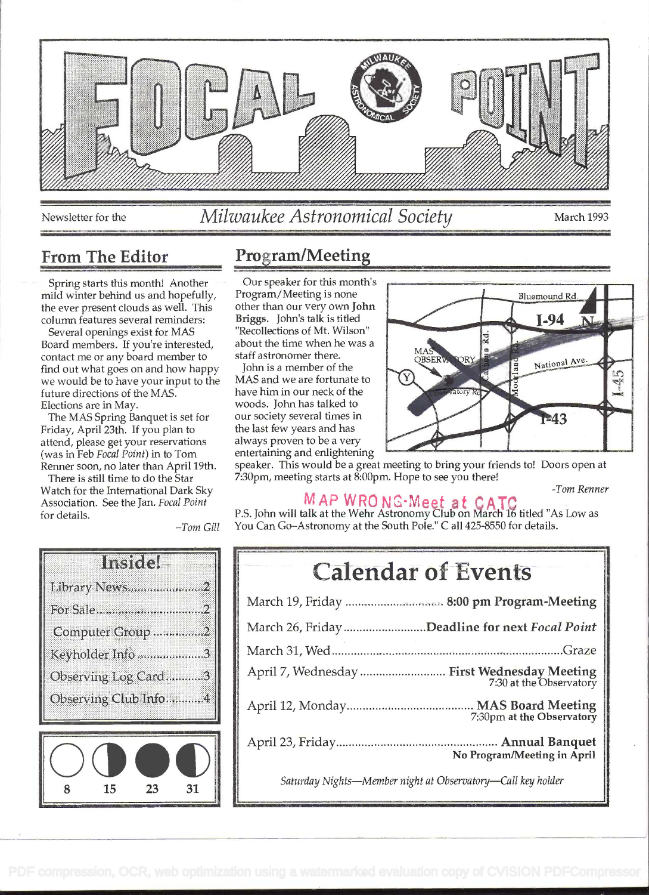

# Newsletter for the Milwaukee Astronomical Society March 1993

Spring starts this month! Another mild winter behind us and hopefully, the ever present clouds as well. This column features several reminders:

Several openings exist for MAS Board members. If you're interested, contact me or any board member to find out what goes on and how happy we would be to have your input to the future directions of the MAS. Elections are in May.

The MAS Spring Banquet is set for Friday, April 23th. If you plan to attend, please get your reservations (was in Feb Focal Point) in to Tom Renner soon, no later than April 19th.

There is still time to do the Star Watch for the International Dark Sky Association. See the Jan. Focal Point for details.

# From The Editor Program/Meeting

Our speaker for this month's other than our very own John Briggs. John's talk is titled "Recollections of Mt. Wilson" about the time when he was a<br>staff astronomer there. staff astronomer there.

MAS and we are fortunate to John is a member of the have him in our neck of the woods. John has talked to our society several times in the last few years and has always proven to be a very entertaining and enlightening



speaker. This would be a great meeting to bring your friends to! Doors open at 7:30pm, meeting starts at 8:00pm. Hope to see you there!

#### -Tom Renner

**MAP WRONG-Meet at CATC**<br>P.S. John will talk at the Wehr Astronomy Club on March 16 titled "As Low as You Can Go-Astronomy at the South Pole." C all 425-8550 for details.

| <b>Calendar of Events</b>                                              |  |  |
|------------------------------------------------------------------------|--|--|
| March 19, Friday  8:00 pm Program-Meeting                              |  |  |
| March 26, Friday Deadline for next Focal Point                         |  |  |
|                                                                        |  |  |
| April 7, Wednesday  First Wednesday Meeting<br>7:30 at the Observatory |  |  |
| 7:30pm at the Observatory                                              |  |  |
| No Program/Meeting in April                                            |  |  |
| Saturday Nights-Member night at Observatory-Call key holder            |  |  |



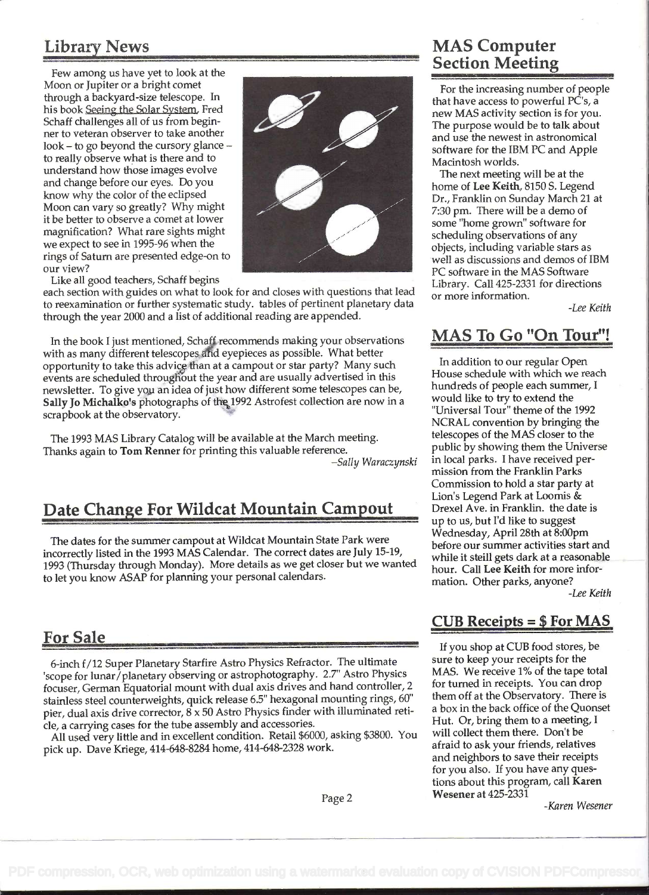# Library News

Few among us have yet to look at the Moon or Jupiter or a bright comet through a backyard-size telescope. In his book Seeing the Solar System. Fred Schaff challenges all of us from beginner to veteran observer to take another look – to go beyond the cursory glance – to really observe what is there and to understand how those images evolve know why the color of the eclipsed Moon can vary so greatly? Why might it be better to observe a comet at lower magnification? What rare sights might we expect to see in 1995-96 when the rings of Saturn are presented edge-on to our view?



Like all good teachers, Schaff begins

each section with guides on what to look for and closes with questions that lead to reexamination or further systematic study. tables of pertinent planetary data through the year 2000 and a list of additional reading are appended.

In the book I just mentioned, Schaff recommends making your observations with as many different telescopes and eyepieces as possible. What better opportunity to take this advice than at a campout or star party? Many such events are scheduled throughout the year and are usually advertised in this newsletter. To give you an idea of just how different some telescopes can be, Sally Jo Michalko's photographs of the 1992 Astrofest collection are now in a scrapbook at the observatory.

The 1993 MAS Library Catalog will be available at the March meeting. Thanks again to Tom Renner for printing this valuable reference.

-Sally Waraczynski

#### Date Change For Wildcat Mountain Campout

The dates for the summer campout at Wildcat Mountain State Park were incorrectly listed in the 1993 MAS Calendar. The correct dates are July 15-19, 1993 (Thursday through Monday). More details as we get closer but we wanted to let you know ASAP for planning your personal calendars.

#### **For Sale**

6-inch f/12 Super Planetary Starfire Astro Physics Refractor. The ultimate 'scope for lunar/planetary observing or astrophotography. 2.7" Astro Physics focuser, German Equatorial mount with dual axis drives and hand controller, <sup>2</sup> stainless steel counterweights, quick release 6.5" hexagonal mounting rings, 60" pier, dual axis drive corrector,  $8 \times 50$  Astro Physics finder with illuminated retide, a carrying cases for the tube assembly and accessories.

All used very little and in excellent condition. Retail \$6000, asking \$3800. You pick up. Dave Kriege, 414-648-8284 home, 414-648-2328 work.

### MAS Computer Section Meeting

For the increasing number of people that have access to powerful PC's, a new MAS activity section is for you. The purpose would be to talk about and use the newest in astronomical software for the IBM PC and Apple Macintosh worlds.

The next meeting will be at the home of Lee Keith, 8150 S. Legend Dr., Franklin on Sunday March 21 at 7:30 pm. There will be a demo of some "home grown" software for scheduling observations of any objects, including variable stars as well as discussions and demos of IBM PC software in the MAS Software Library. Call 425-2331 for directions or more information.

-Lee Keith

### MAS To Go "On Tour"!

In addition to our regular Open House schedule with which we reach hundreds of people each summer, <sup>I</sup> would like to try to extend the "Universal Tour" theme of the 1992 NCRAL convention by bringing the telescopes of the MAS closer to the public by showing them the Universe in local parks. I have received permission from the Franklin Parks Commission to hold a star party at Lion's Legend Park at Loomis & Drexel Ave. in Franklin. the date is up to us, but I'd like to suggest Wednesday, April 28th at 8:00pm before our summer activities start and while it steill gets dark at a reasonable hour. Call Lee Keith for more information. Other parks, anyone? -Lee Keith

#### CUB Receipts = \$ For MAS

If you shop at CUB food stores, be sure to keep your receipts for the MAS. We receive 1% of the tape total for turned in receipts. You can drop them off at the Observatory. There is a box in the back office of the Quonset Hut. Or, bring them to a meeting, <sup>I</sup> will collect them there. Don't be afraid to ask your friends, relatives and neighbors to save their receipts for you also. If you have any questions about this program, call Karen Wesener at 425-2331

-Karen Wesener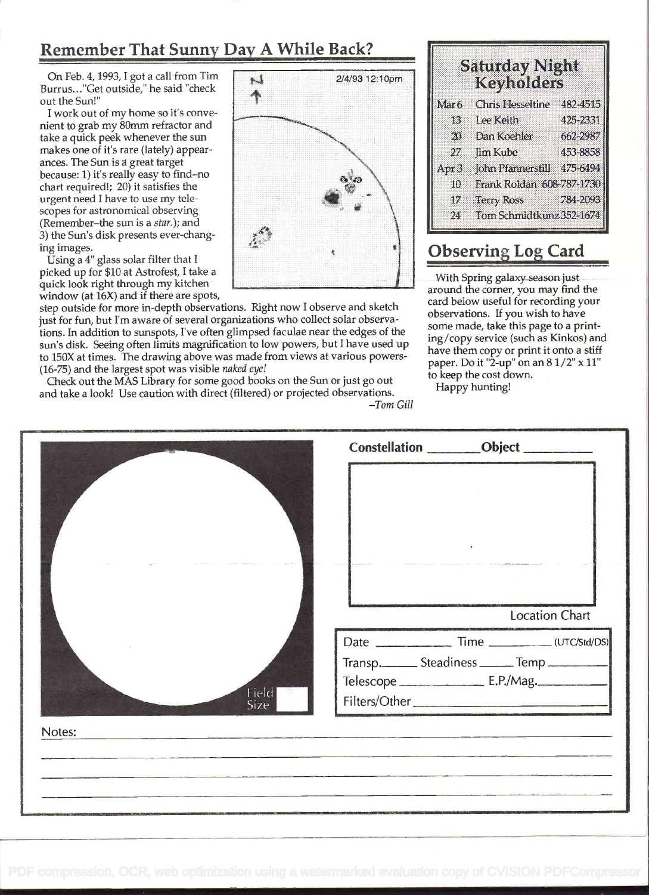#### Remember That Sunny Day A While Back?

On Feb. 4, 1993, I got a call from Tim Burrus..."Get outside," he said "check out the Sun!'

I work out of my home so it's convenient to grab my 80mm refractor and take a quick peek whenever the sun makes one of it's rare (lately) appearances. The Sun is great target because: 1) it's really easy to find-no chart required!; 20) it satisfies the \ urgent need I have to use my tele scopes for astronomical observing . (Remember-the sun is a star. ); and 3) the Sun's disk presents ever-chang- ' ing images.

Using a 4" glass solar filter that I<br>picked up for \$10 at Astrofest, I take a quick look right through my kitchen window (at 16X) and if there are spots,

step outside for more in-depth observations. Right now I observe and sketch just for fun, but I'm aware of several organizations who collect solar observations. In addition to sunspots, I've often glimpsed faculae near the edges of the sun's disk. Seeing often limits magnification to low powers, but I have used up to 150X at times. The drawing above was made from views at various powers- (16-75) and the largest spot was visible naked eye!

| $\mathbf{r}$ | 2/4/93 12:10pm |  |  |
|--------------|----------------|--|--|
|              |                |  |  |
|              |                |  |  |
|              | (1, 1)         |  |  |
|              | ű              |  |  |
|              |                |  |  |
| ş            | ۸<br>魙         |  |  |
|              |                |  |  |

|                  | Samoay Night<br><b>Keyholders</b> |          |
|------------------|-----------------------------------|----------|
| Mar <sub>6</sub> | <b>Chris Hesseltine</b>           | 482-4515 |
| 13               | Lee Keith                         | 425-2331 |
| 20               | Dan Koehler                       | 662-2987 |
| 27               | <b>fim Kube</b>                   | 453-8858 |
| Apr <sub>3</sub> | John Pfannerstill                 | 475.6494 |
| 10               | Frank Roldan 608-787-1730         |          |
| 17               | <b>Terry Ross</b>                 | 784-2093 |
| 24               | Tom Schmidtkunz 352-1674          |          |

#### **Observing Log Card**

With Spring galaxy season just around the corner, you may find the card below useful for recording your observations. If you wish to have some made, take this page to a printing/copy service (such as Kinkos) and have them copy or print it onto a stiff paper. Do it "2-up" on an 8 1/2" x 11" to keep the cost down.

| (16-75) and the largest spot was visible <i>nukel eye!</i><br>Check out the MAS Library for some good books on the Sun or just go out<br>and take a look! Use caution with direct (filtered) or projected observations.<br>to keep the cost down.<br>Happy hunting!<br>$-Tom$ Gill                                            |  |  |
|-------------------------------------------------------------------------------------------------------------------------------------------------------------------------------------------------------------------------------------------------------------------------------------------------------------------------------|--|--|
| Constellation ________Object ________                                                                                                                                                                                                                                                                                         |  |  |
| $\frac{1}{2}$ and $\frac{1}{2}$ and $\frac{1}{2}$ are solved to the function of the $\frac{1}{2}$ . The mass $\frac{1}{2}$<br>- Service and the service department of the<br>Professional Professional<br><b>Location Chart</b><br>Transp. ______ Steadiness ______ Temp _______                                              |  |  |
| Notes:<br><u> 1986 - Andrew Marie Barnett, markingan amerikan personal (h. 1987).</u><br><u> The Commission and Commission and Commission and Commission and Commission and Commission and Commission and Commission and Commission and Commission and Commission and Commission and Commission and Commission and Commis</u> |  |  |